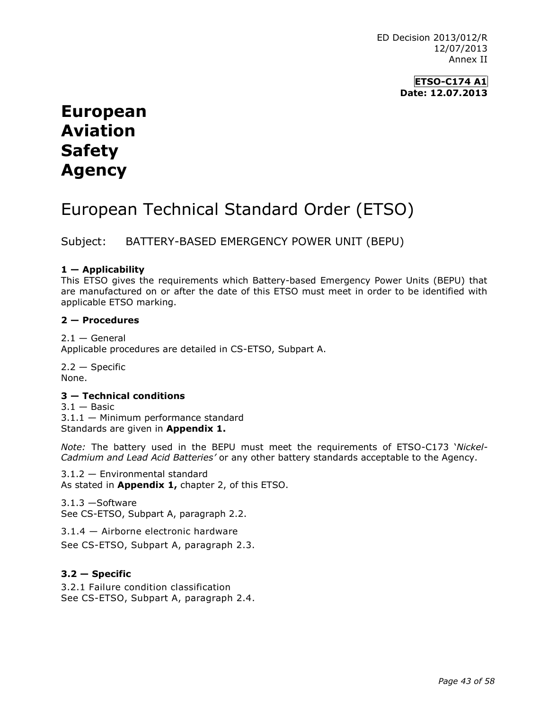> **ETSO-C174 A1 Date: 12.07.2013**

# **European Aviation Safety Agency**

# European Technical Standard Order (ETSO)

Subject: BATTERY-BASED EMERGENCY POWER UNIT (BEPU)

# **1 — Applicability**

This ETSO gives the requirements which Battery-based Emergency Power Units (BEPU) that are manufactured on or after the date of this ETSO must meet in order to be identified with applicable ETSO marking.

# **2 — Procedures**

 $2.1 -$  General Applicable procedures are detailed in CS-ETSO, Subpart A.

 $2.2 -$ Specific None.

# **3 — Technical conditions**

 $3.1 -$ Basic 3.1.1 — Minimum performance standard Standards are given in **Appendix 1.**

*Note:* The battery used in the BEPU must meet the requirements of ETSO-C173 '*Nickel-Cadmium and Lead Acid Batteries'* or any other battery standards acceptable to the Agency.

3.1.2 — Environmental standard As stated in **Appendix 1,** chapter 2, of this ETSO.

3.1.3 —Software See CS-ETSO, Subpart A, paragraph 2.2.

3.1.4 — Airborne electronic hardware

See CS-ETSO, Subpart A, paragraph 2.3.

# **3.2 — Specific**

3.2.1 Failure condition classification See CS-ETSO, Subpart A, paragraph 2.4.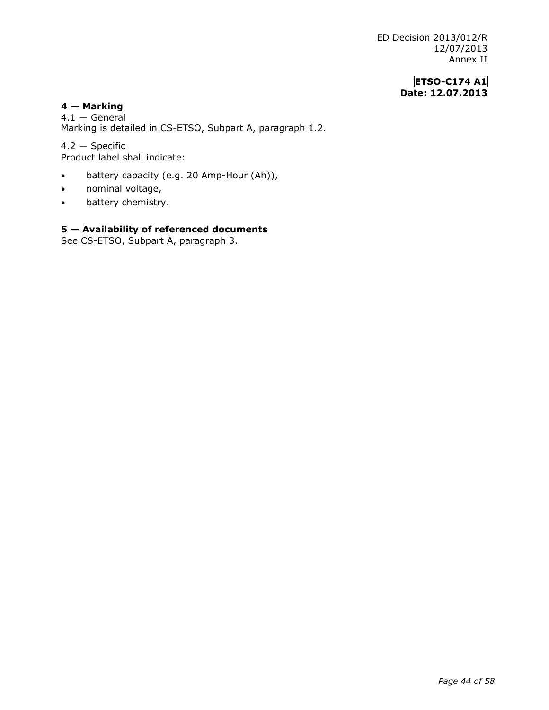# **ETSO-C174 A1 Date: 12.07.2013**

## **4 — Marking**

4.1 — General Marking is detailed in CS-ETSO, Subpart A, paragraph 1.2.

4.2 — Specific Product label shall indicate:

- battery capacity (e.g. 20 Amp-Hour (Ah)),
- nominal voltage,
- battery chemistry.

# **5 — Availability of referenced documents**

See CS-ETSO, Subpart A, paragraph 3.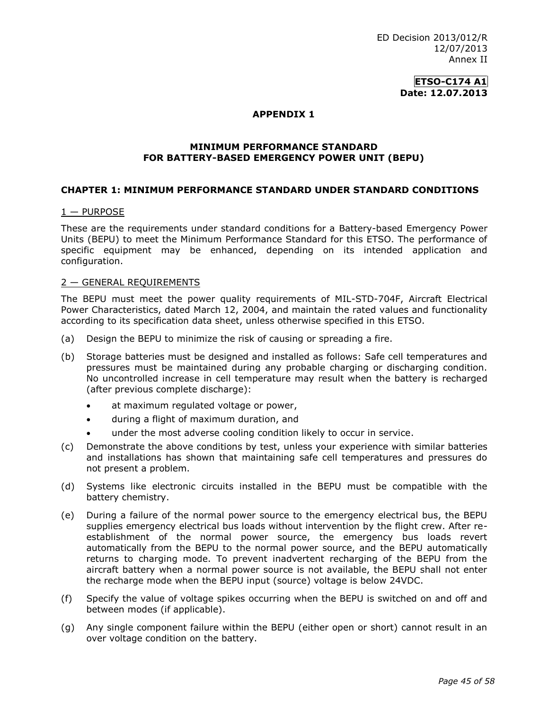> **ETSO-C174 A1 Date: 12.07.2013**

## **APPENDIX 1**

### **MINIMUM PERFORMANCE STANDARD FOR BATTERY-BASED EMERGENCY POWER UNIT (BEPU)**

## **CHAPTER 1: MINIMUM PERFORMANCE STANDARD UNDER STANDARD CONDITIONS**

### $1 -$  PURPOSE

These are the requirements under standard conditions for a Battery-based Emergency Power Units (BEPU) to meet the Minimum Performance Standard for this ETSO. The performance of specific equipment may be enhanced, depending on its intended application and configuration.

## 2 — GENERAL REQUIREMENTS

The BEPU must meet the power quality requirements of MIL-STD-704F, Aircraft Electrical Power Characteristics, dated March 12, 2004, and maintain the rated values and functionality according to its specification data sheet, unless otherwise specified in this ETSO.

- (a) Design the BEPU to minimize the risk of causing or spreading a fire.
- (b) Storage batteries must be designed and installed as follows: Safe cell temperatures and pressures must be maintained during any probable charging or discharging condition. No uncontrolled increase in cell temperature may result when the battery is recharged (after previous complete discharge):
	- at maximum regulated voltage or power,
	- during a flight of maximum duration, and
	- under the most adverse cooling condition likely to occur in service.
- (c) Demonstrate the above conditions by test, unless your experience with similar batteries and installations has shown that maintaining safe cell temperatures and pressures do not present a problem.
- (d) Systems like electronic circuits installed in the BEPU must be compatible with the battery chemistry.
- (e) During a failure of the normal power source to the emergency electrical bus, the BEPU supplies emergency electrical bus loads without intervention by the flight crew. After reestablishment of the normal power source, the emergency bus loads revert automatically from the BEPU to the normal power source, and the BEPU automatically returns to charging mode. To prevent inadvertent recharging of the BEPU from the aircraft battery when a normal power source is not available, the BEPU shall not enter the recharge mode when the BEPU input (source) voltage is below 24VDC.
- (f) Specify the value of voltage spikes occurring when the BEPU is switched on and off and between modes (if applicable).
- (g) Any single component failure within the BEPU (either open or short) cannot result in an over voltage condition on the battery.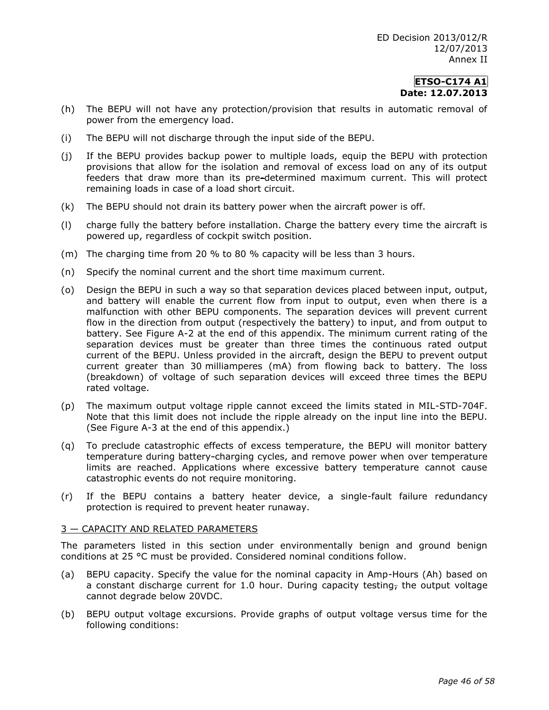- (h) The BEPU will not have any protection/provision that results in automatic removal of power from the emergency load.
- (i) The BEPU will not discharge through the input side of the BEPU.
- (j) If the BEPU provides backup power to multiple loads, equip the BEPU with protection provisions that allow for the isolation and removal of excess load on any of its output feeders that draw more than its pre-determined maximum current. This will protect remaining loads in case of a load short circuit.
- (k) The BEPU should not drain its battery power when the aircraft power is off.
- (l) charge fully the battery before installation. Charge the battery every time the aircraft is powered up, regardless of cockpit switch position.
- (m) The charging time from 20 % to 80 % capacity will be less than 3 hours.
- (n) Specify the nominal current and the short time maximum current.
- (o) Design the BEPU in such a way so that separation devices placed between input, output, and battery will enable the current flow from input to output, even when there is a malfunction with other BEPU components. The separation devices will prevent current flow in the direction from output (respectively the battery) to input, and from output to battery. See Figure A-2 at the end of this appendix. The minimum current rating of the separation devices must be greater than three times the continuous rated output current of the BEPU. Unless provided in the aircraft, design the BEPU to prevent output current greater than 30 milliamperes (mA) from flowing back to battery. The loss (breakdown) of voltage of such separation devices will exceed three times the BEPU rated voltage.
- (p) The maximum output voltage ripple cannot exceed the limits stated in MIL-STD-704F. Note that this limit does not include the ripple already on the input line into the BEPU. (See Figure A-3 at the end of this appendix.)
- (q) To preclude catastrophic effects of excess temperature, the BEPU will monitor battery temperature during battery-charging cycles, and remove power when over temperature limits are reached. Applications where excessive battery temperature cannot cause catastrophic events do not require monitoring.
- (r) If the BEPU contains a battery heater device, a single-fault failure redundancy protection is required to prevent heater runaway.

### 3 — CAPACITY AND RELATED PARAMETERS

The parameters listed in this section under environmentally benign and ground benign conditions at 25 °C must be provided. Considered nominal conditions follow.

- (a) BEPU capacity. Specify the value for the nominal capacity in Amp-Hours (Ah) based on a constant discharge current for 1.0 hour. During capacity testing, the output voltage cannot degrade below 20VDC.
- (b) BEPU output voltage excursions. Provide graphs of output voltage versus time for the following conditions: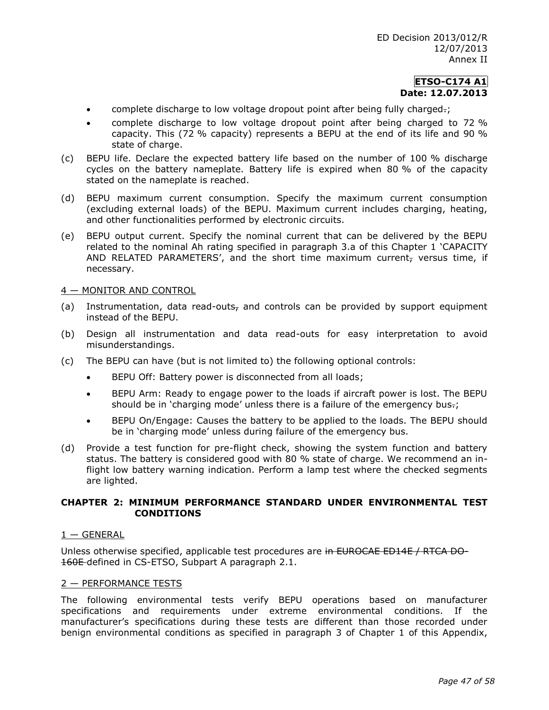- **EXED** complete discharge to low voltage dropout point after being fully charged.;
- complete discharge to low voltage dropout point after being charged to 72 % capacity. This (72 % capacity) represents a BEPU at the end of its life and 90 % state of charge.
- (c) BEPU life. Declare the expected battery life based on the number of 100 % discharge cycles on the battery nameplate. Battery life is expired when 80 % of the capacity stated on the nameplate is reached.
- (d) BEPU maximum current consumption. Specify the maximum current consumption (excluding external loads) of the BEPU. Maximum current includes charging, heating, and other functionalities performed by electronic circuits.
- (e) BEPU output current. Specify the nominal current that can be delivered by the BEPU related to the nominal Ah rating specified in paragraph 3.a of this Chapter 1 'CAPACITY AND RELATED PARAMETERS', and the short time maximum current, versus time, if necessary.

## 4 — MONITOR AND CONTROL

- (a) Instrumentation, data read-outs<sub>r</sub> and controls can be provided by support equipment instead of the BEPU.
- (b) Design all instrumentation and data read-outs for easy interpretation to avoid misunderstandings.
- (c) The BEPU can have (but is not limited to) the following optional controls:
	- BEPU Off: Battery power is disconnected from all loads;
	- BEPU Arm: Ready to engage power to the loads if aircraft power is lost. The BEPU should be in 'charging mode' unless there is a failure of the emergency bus.;
	- BEPU On/Engage: Causes the battery to be applied to the loads. The BEPU should be in 'charging mode' unless during failure of the emergency bus.
- (d) Provide a test function for pre-flight check, showing the system function and battery status. The battery is considered good with 80 % state of charge. We recommend an inflight low battery warning indication. Perform a lamp test where the checked segments are lighted.

## **CHAPTER 2: MINIMUM PERFORMANCE STANDARD UNDER ENVIRONMENTAL TEST CONDITIONS**

### $1 -$  GENERAL

Unless otherwise specified, applicable test procedures are in EUROCAE ED14E / RTCA DO-160E-defined in CS-ETSO, Subpart A paragraph 2.1.

### 2 — PERFORMANCE TESTS

The following environmental tests verify BEPU operations based on manufacturer specifications and requirements under extreme environmental conditions. If the manufacturer's specifications during these tests are different than those recorded under benign environmental conditions as specified in paragraph 3 of Chapter 1 of this Appendix,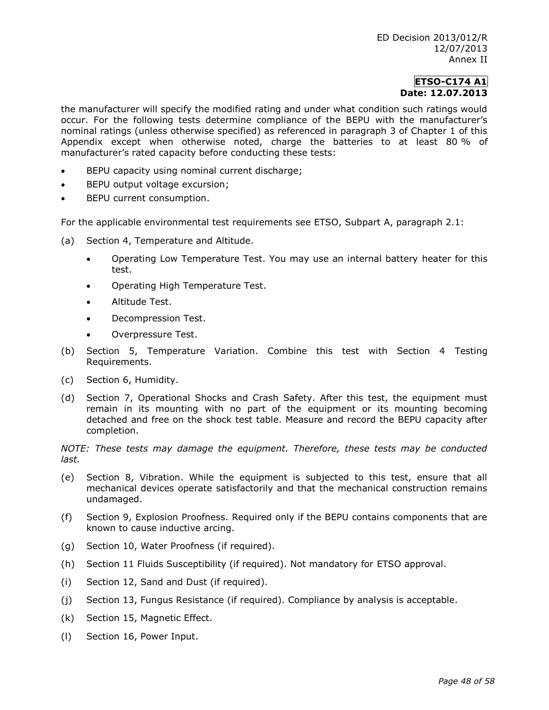the manufacturer will specify the modified rating and under what condition such ratings would occur. For the following tests determine compliance of the BEPU with the manufacturer's nominal ratings (unless otherwise specified) as referenced in paragraph 3 of Chapter 1 of this Appendix except when otherwise noted, charge the batteries to at least 80 % of manufacturer's rated capacity before conducting these tests:

- BEPU capacity using nominal current discharge;
- BEPU output voltage excursion;
- BEPU current consumption.

For the applicable environmental test requirements see ETSO, Subpart A, paragraph 2.1:

- (a) Section 4, Temperature and Altitude.
	- Operating Low Temperature Test. You may use an internal battery heater for this test.
	- Operating High Temperature Test.
	- Altitude Test.
	- Decompression Test.
	- Overpressure Test.
- (b) Section 5, Temperature Variation. Combine this test with Section 4 Testing Requirements.
- (c) Section 6, Humidity.
- (d) Section 7, Operational Shocks and Crash Safety. After this test, the equipment must remain in its mounting with no part of the equipment or its mounting becoming detached and free on the shock test table. Measure and record the BEPU capacity after completion.

*NOTE: These tests may damage the equipment. Therefore, these tests may be conducted last.* 

- (e) Section 8, Vibration. While the equipment is subjected to this test, ensure that all mechanical devices operate satisfactorily and that the mechanical construction remains undamaged.
- (f) Section 9, Explosion Proofness. Required only if the BEPU contains components that are known to cause inductive arcing.
- (g) Section 10, Water Proofness (if required).
- (h) Section 11 Fluids Susceptibility (if required). Not mandatory for ETSO approval.
- (i) Section 12, Sand and Dust (if required).
- (j) Section 13, Fungus Resistance (if required). Compliance by analysis is acceptable.
- (k) Section 15, Magnetic Effect.
- (l) Section 16, Power Input.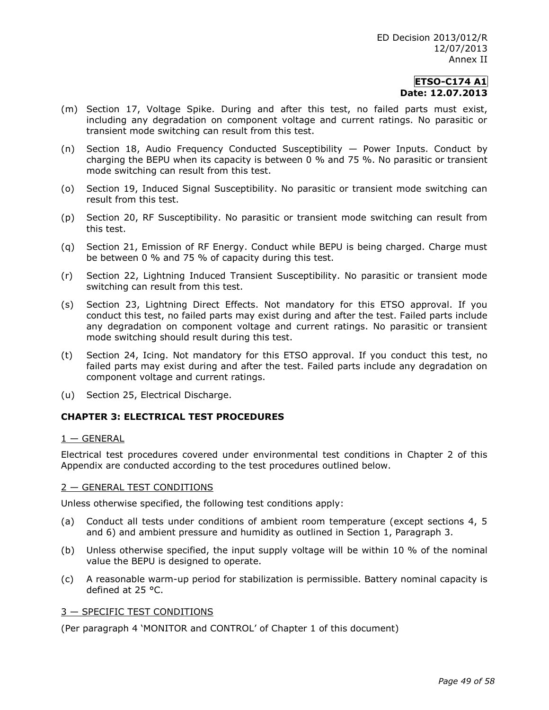- (m) Section 17, Voltage Spike. During and after this test, no failed parts must exist, including any degradation on component voltage and current ratings. No parasitic or transient mode switching can result from this test.
- (n) Section 18, Audio Frequency Conducted Susceptibility Power Inputs. Conduct by charging the BEPU when its capacity is between 0 % and 75 %. No parasitic or transient mode switching can result from this test.
- (o) Section 19, Induced Signal Susceptibility. No parasitic or transient mode switching can result from this test.
- (p) Section 20, RF Susceptibility. No parasitic or transient mode switching can result from this test.
- (q) Section 21, Emission of RF Energy. Conduct while BEPU is being charged. Charge must be between 0 % and 75 % of capacity during this test.
- (r) Section 22, Lightning Induced Transient Susceptibility. No parasitic or transient mode switching can result from this test.
- (s) Section 23, Lightning Direct Effects. Not mandatory for this ETSO approval. If you conduct this test, no failed parts may exist during and after the test. Failed parts include any degradation on component voltage and current ratings. No parasitic or transient mode switching should result during this test.
- (t) Section 24, Icing. Not mandatory for this ETSO approval. If you conduct this test, no failed parts may exist during and after the test. Failed parts include any degradation on component voltage and current ratings.
- (u) Section 25, Electrical Discharge.

# **CHAPTER 3: ELECTRICAL TEST PROCEDURES**

## $1 -$  GENERAL

Electrical test procedures covered under environmental test conditions in Chapter 2 of this Appendix are conducted according to the test procedures outlined below.

## 2 — GENERAL TEST CONDITIONS

Unless otherwise specified, the following test conditions apply:

- (a) Conduct all tests under conditions of ambient room temperature (except sections 4, 5 and 6) and ambient pressure and humidity as outlined in Section 1, Paragraph 3.
- (b) Unless otherwise specified, the input supply voltage will be within 10 % of the nominal value the BEPU is designed to operate.
- (c) A reasonable warm-up period for stabilization is permissible. Battery nominal capacity is defined at 25 °C.

## 3 — SPECIFIC TEST CONDITIONS

(Per paragraph 4 'MONITOR and CONTROL' of Chapter 1 of this document)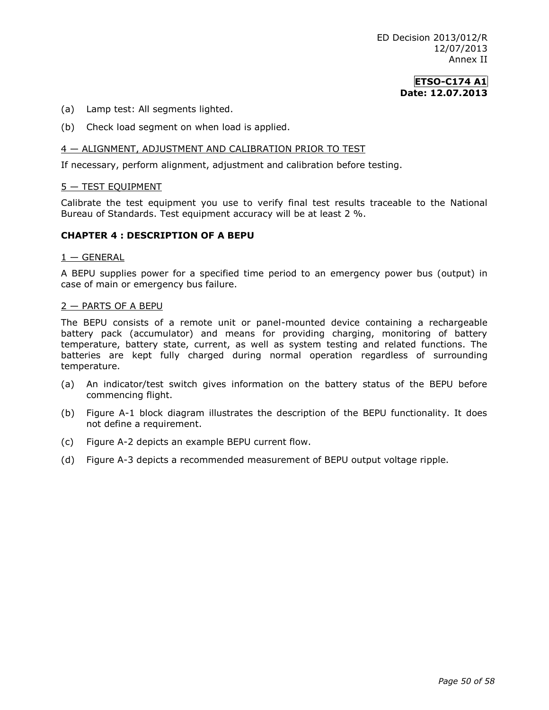- (a) Lamp test: All segments lighted.
- (b) Check load segment on when load is applied.

### 4 — ALIGNMENT, ADJUSTMENT AND CALIBRATION PRIOR TO TEST

If necessary, perform alignment, adjustment and calibration before testing.

### 5 — TEST EQUIPMENT

Calibrate the test equipment you use to verify final test results traceable to the National Bureau of Standards. Test equipment accuracy will be at least 2 %.

### **CHAPTER 4 : DESCRIPTION OF A BEPU**

#### $1 -$  GENERAL

A BEPU supplies power for a specified time period to an emergency power bus (output) in case of main or emergency bus failure.

#### 2 — PARTS OF A BEPU

The BEPU consists of a remote unit or panel-mounted device containing a rechargeable battery pack (accumulator) and means for providing charging, monitoring of battery temperature, battery state, current, as well as system testing and related functions. The batteries are kept fully charged during normal operation regardless of surrounding temperature.

- (a) An indicator/test switch gives information on the battery status of the BEPU before commencing flight.
- (b) Figure A-1 block diagram illustrates the description of the BEPU functionality. It does not define a requirement.
- (c) Figure A-2 depicts an example BEPU current flow.
- (d) Figure A-3 depicts a recommended measurement of BEPU output voltage ripple.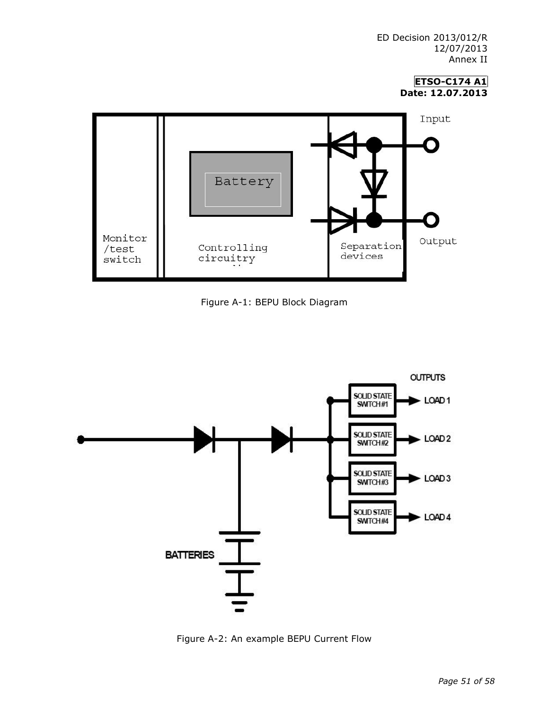> **ETSO-C174 A1 Date: 12.07.2013**







Figure A-2: An example BEPU Current Flow